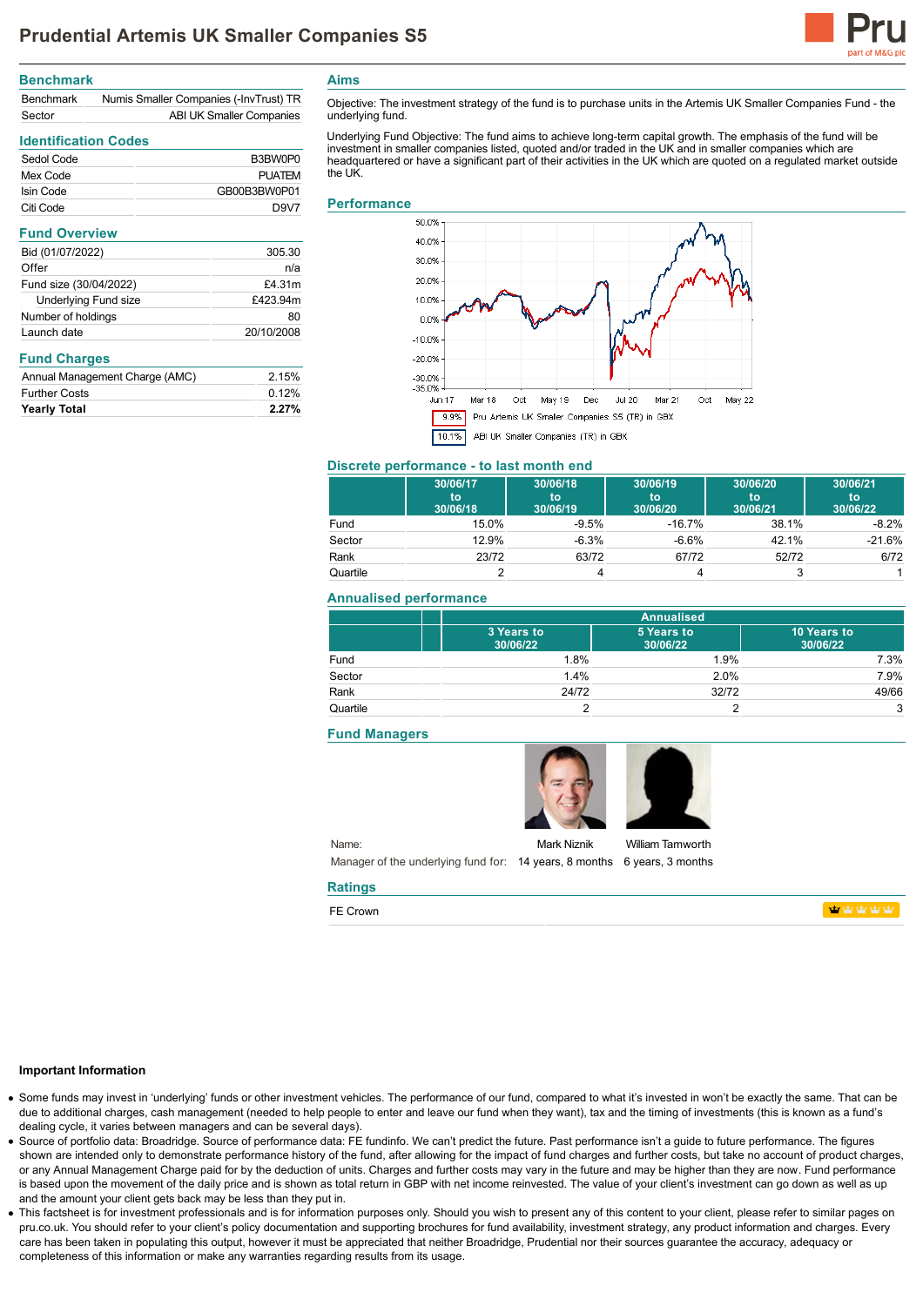

### **Benchmark**

| <b>Benchmark</b> | Numis Smaller Companies (-InvTrust) TR |
|------------------|----------------------------------------|
| Sector           | ABI UK Smaller Companies               |

## **Identification Codes**

| Sedol Code | B3BW0P0                       |
|------------|-------------------------------|
| Mex Code   | <b>PUATEM</b>                 |
| Isin Code  | GB00B3BW0P01                  |
| Citi Code  | D <sub>9</sub> V <sub>7</sub> |

| 305.30     |
|------------|
| n/a        |
| £4.31m     |
| £423.94m   |
| 80         |
| 20/10/2008 |
|            |

### **Fund Charges**

| <b>Yearly Total</b>            | 2.27% |
|--------------------------------|-------|
| <b>Further Costs</b>           | 0.12% |
| Annual Management Charge (AMC) | 2.15% |

**Aims**

Objective: The investment strategy of the fund is to purchase units in the Artemis UK Smaller Companies Fund - the underlying fund.

Underlying Fund Objective: The fund aims to achieve long-term capital growth. The emphasis of the fund will be investment in smaller companies listed, quoted and/or traded in the UK and in smaller companies which are headquartered or have a significant part of their activities in the UK which are quoted on a regulated market outside the UK

#### **Performance**



## **Discrete performance - to last month end**

|          | 30/06/17<br>to<br>30/06/18 | 30/06/18<br>to<br>30/06/19 | 30/06/19<br>to<br>30/06/20 | 30/06/20<br>to<br>30/06/21 | 30/06/21<br><b>to</b><br>30/06/22 |
|----------|----------------------------|----------------------------|----------------------------|----------------------------|-----------------------------------|
| Fund     | 15.0%                      | $-9.5%$                    | $-16.7\%$                  | 38.1%                      | $-8.2%$                           |
| Sector   | 12.9%                      | $-6.3%$                    | $-6.6\%$                   | 42.1%                      | $-21.6%$                          |
| Rank     | 23/72                      | 63/72                      | 67/72                      | 52/72                      | 6/72                              |
| Quartile |                            |                            |                            |                            |                                   |

## **Annualised performance**

|          | <b>Annualised</b>      |                        |                         |
|----------|------------------------|------------------------|-------------------------|
|          | 3 Years to<br>30/06/22 | 5 Years to<br>30/06/22 | 10 Years to<br>30/06/22 |
| Fund     | 1.8%                   | 1.9%                   | 7.3%                    |
| Sector   | 1.4%                   | 2.0%                   | 7.9%                    |
| Rank     | 24/72                  | 32/72                  | 49/66                   |
| Quartile |                        |                        | 3                       |

#### **Fund Managers**

**Ratings** FE Crown





Name: Manager of the underlying fund for: 14 years, 8 months 6 years, 3 months Mark Niznik

William Tamworth

**Management** 

### **Important Information**

- Some funds may invest in 'underlying' funds or other investment vehicles. The performance of our fund, compared to what it's invested in won't be exactly the same. That can be due to additional charges, cash management (needed to help people to enter and leave our fund when they want), tax and the timing of investments (this is known as a fund's dealing cycle, it varies between managers and can be several days).
- Source of portfolio data: Broadridge. Source of performance data: FE fundinfo. We can't predict the future. Past performance isn't a guide to future performance. The figures shown are intended only to demonstrate performance history of the fund, after allowing for the impact of fund charges and further costs, but take no account of product charges, or any Annual Management Charge paid for by the deduction of units. Charges and further costs may vary in the future and may be higher than they are now. Fund performance is based upon the movement of the daily price and is shown as total return in GBP with net income reinvested. The value of your client's investment can go down as well as up and the amount your client gets back may be less than they put in.
- This factsheet is for investment professionals and is for information purposes only. Should you wish to present any of this content to your client, please refer to similar pages on pru.co.uk. You should refer to your client's policy documentation and supporting brochures for fund availability, investment strategy, any product information and charges. Every care has been taken in populating this output, however it must be appreciated that neither Broadridge, Prudential nor their sources guarantee the accuracy, adequacy or completeness of this information or make any warranties regarding results from its usage.